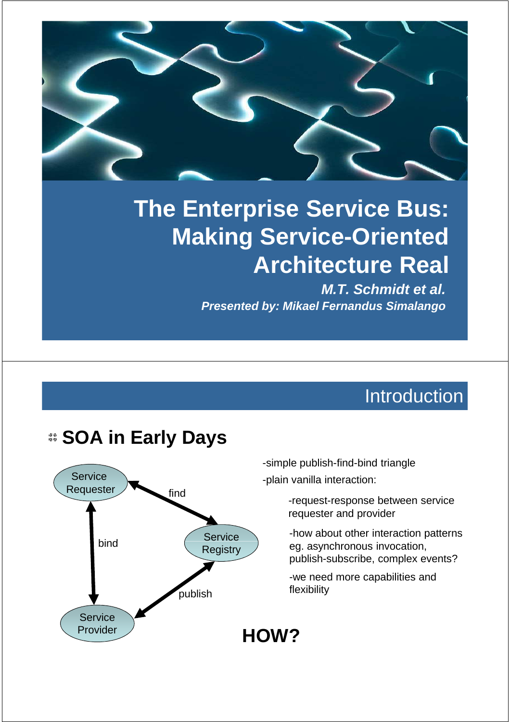# **The Enterprise Service Bus: Making Service-Oriented Architecture Real**

**M.T. Schmidt et al. Presented by: Mikael Fernandus Simalango**

### **Introduction**

### **Service** Requester **Service** find bind **Service** Provider **Registry** publish

**SOA in Early Days**

-simple publish-find-bind triangle -plain vanilla interaction:

- -request-response between service requester and provider
- -how about other interaction patterns eg. asynchronous invocation, publish-subscribe, complex events?

-we need more capabilities and flexibility

**HOW?**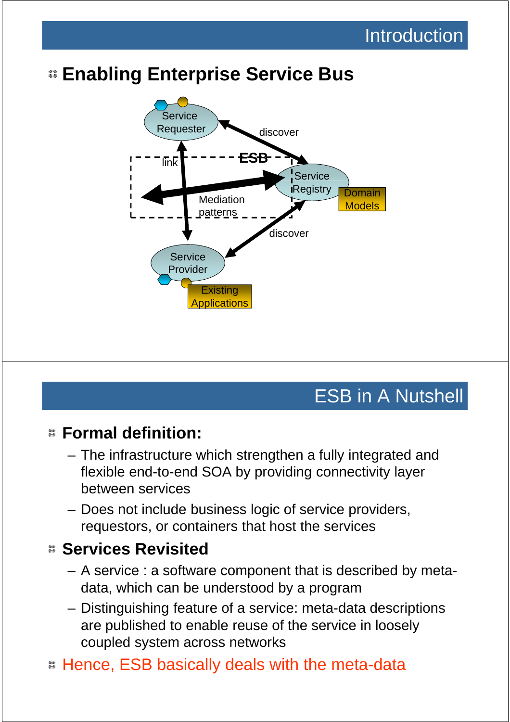### **Enabling Enterprise Service Bus**



### ESB in A Nutshell

#### **Formal definition:**

- The infrastructure which strengthen a fully integrated and flexible end-to-end SOA by providing connectivity layer between services
- Does not include business logic of service providers, requestors, or containers that host the services

#### **Services Revisited**

- A service : a software component that is described by metadata, which can be understood by a program
- Distinguishing feature of a service: meta-data descriptions are published to enable reuse of the service in loosely coupled system across networks
- Hence, ESB basically deals with the meta-data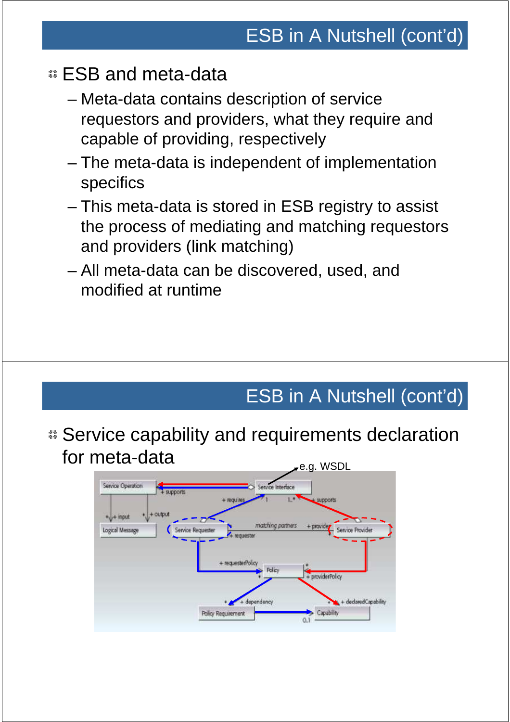### ESB and meta-data

- Meta-data contains description of service requestors and providers, what they require and capable of providing, respectively
- The meta-data is independent of implementation specifics
- This meta-data is stored in ESB registry to assist the process of mediating and matching requestors and providers (link matching)
- All meta-data can be discovered, used, and modified at runtime

# ESB in A Nutshell (cont'd)

Service capability and requirements declaration for meta-data services and the sense of the sense of the sense of the sense of the sense of the sense of the sense of the sense of the sense of the sense of the sense of the sense of the sense of the sense of the sense of

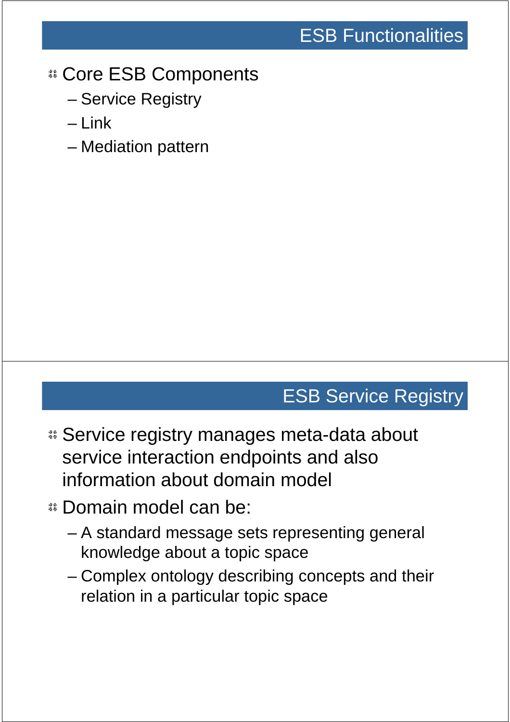### Core ESB Components

- Service Registry
- $-1$  ink
- Mediation pattern

### ESB Service Registry

- Service registry manages meta-data about service interaction endpoints and also information about domain model
- Domain model can be:
	- A standard message sets representing general knowledge about a topic space
	- Complex ontology describing concepts and their relation in a particular topic space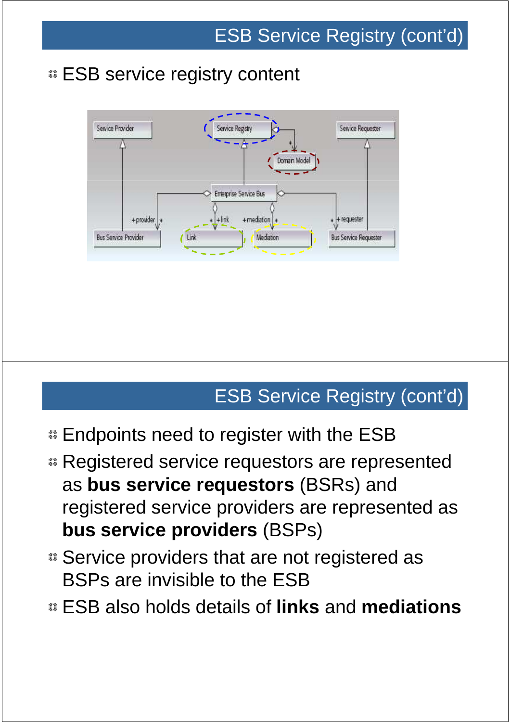### **ESB service registry content**



# ESB Service Registry (cont'd)

- **Endpoints need to register with the ESB**
- **B. Registered service requestors are represented** as **bus service requestors** (BSRs) and registered service providers are represented as **bus service providers** (BSPs)
- Service providers that are not registered as BSPs are invisible to the ESB
- ESB also holds details of **links** and **mediations**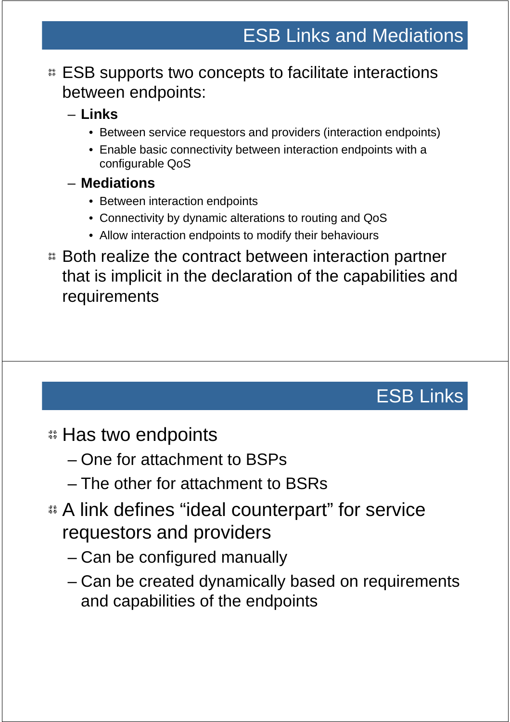#### **ESB** supports two concepts to facilitate interactions between endpoints:

#### – **Links**

- Between service requestors and providers (interaction endpoints)
- Enable basic connectivity between interaction endpoints with a configurable QoS

#### – **Mediations**

- Between interaction endpoints
- Connectivity by dynamic alterations to routing and QoS
- Allow interaction endpoints to modify their behaviours
- Both realize the contract between interaction partner that is implicit in the declaration of the capabilities and requirements

# ESB Links

### **E** Has two endpoints

- One for attachment to BSPs
- The other for attachment to BSRs
- A link defines "ideal counterpart" for service requestors and providers
	- Can be configured manually
	- Can be created dynamically based on requirements and capabilities of the endpoints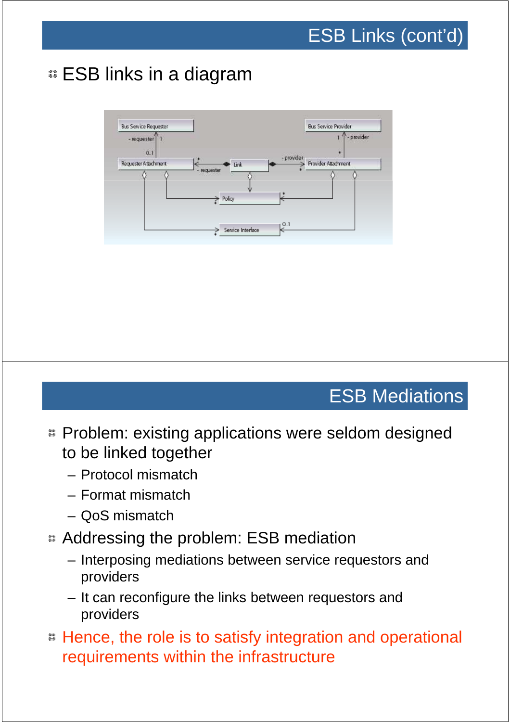### ESB links in a diagram



### ESB Mediations

- **EX** Problem: existing applications were seldom designed to be linked together
	- Protocol mismatch
	- Format mismatch
	- QoS mismatch
- Addressing the problem: ESB mediation
	- Interposing mediations between service requestors and providers
	- It can reconfigure the links between requestors and providers
- Hence, the role is to satisfy integration and operational requirements within the infrastructure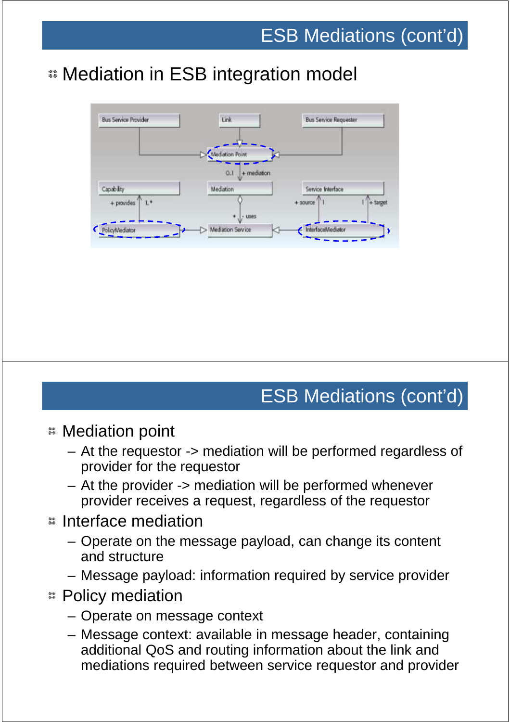## Mediation in ESB integration model



### ESB Mediations (cont'd)

- Mediation point
	- At the requestor -> mediation will be performed regardless of provider for the requestor
	- At the provider -> mediation will be performed whenever provider receives a request, regardless of the requestor

#### Interface mediation

- Operate on the message payload, can change its content and structure
- Message payload: information required by service provider
- Policy mediation
	- Operate on message context
	- Message context: available in message header, containing additional QoS and routing information about the link and mediations required between service requestor and provider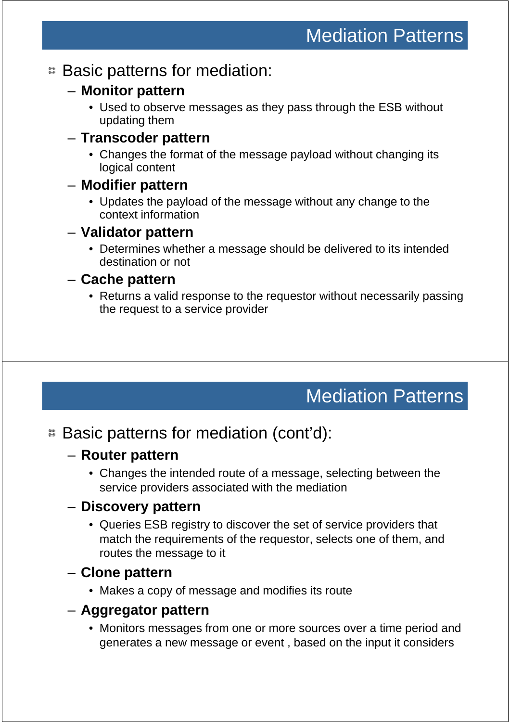#### Basic patterns for mediation:

- **Monitor pattern**
	- Used to observe messages as they pass through the ESB without updating them

#### – **Transcoder pattern**

• Changes the format of the message payload without changing its logical content

#### – **Modifier pattern**

• Updates the payload of the message without any change to the context information

#### – **Validator pattern**

• Determines whether a message should be delivered to its intended destination or not

#### – **Cache pattern**

• Returns a valid response to the requestor without necessarily passing the request to a service provider

### Mediation Patterns

### Basic patterns for mediation (cont'd):

#### – **Router pattern**

• Changes the intended route of a message, selecting between the service providers associated with the mediation

#### – **Discovery pattern**

• Queries ESB registry to discover the set of service providers that match the requirements of the requestor, selects one of them, and routes the message to it

#### – **Clone pattern**

• Makes a copy of message and modifies its route

#### – **Aggregator pattern**

• Monitors messages from one or more sources over a time period and generates a new message or event , based on the input it considers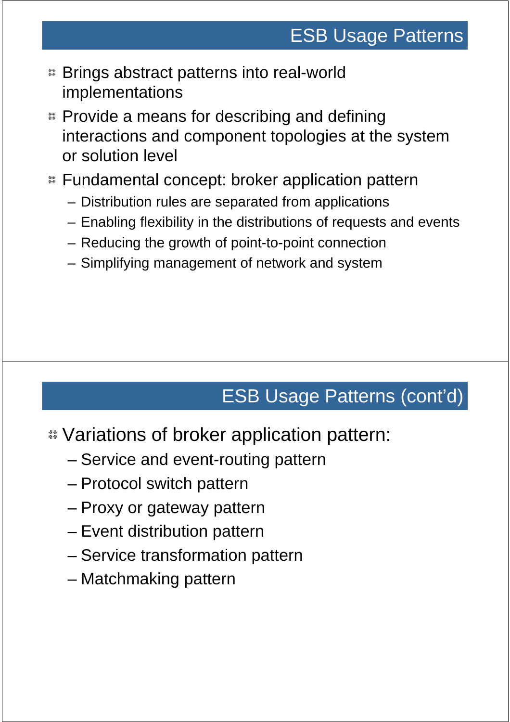# ESB Usage Patterns

- Brings abstract patterns into real-world implementations
- **EX Provide a means for describing and defining** interactions and component topologies at the system or solution level
- Fundamental concept: broker application pattern
	- Distribution rules are separated from applications
	- Enabling flexibility in the distributions of requests and events
	- Reducing the growth of point-to-point connection
	- Simplifying management of network and system

# ESB Usage Patterns (cont'd)

- Variations of broker application pattern:
	- Service and event-routing pattern
	- Protocol switch pattern
	- Proxy or gateway pattern
	- Event distribution pattern
	- Service transformation pattern
	- Matchmaking pattern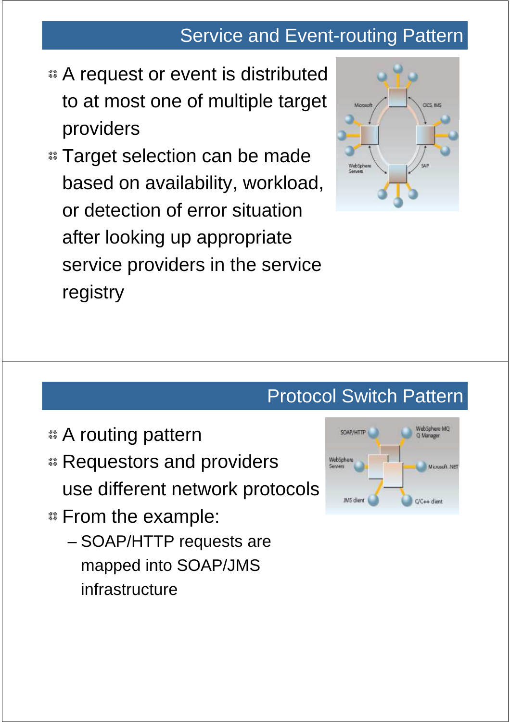### Service and Event-routing Pattern

- A request or event is distributed to at most one of multiple target providers
- **Example 3 Target selection can be made** based on availability, workload, or detection of error situation after looking up appropriate service providers in the service registry



### Protocol Switch Pattern

- A routing pattern
- **B. Requestors and providers** use different network protocols
- From the example:
	- SOAP/HTTP requests are mapped into SOAP/JMS infrastructure

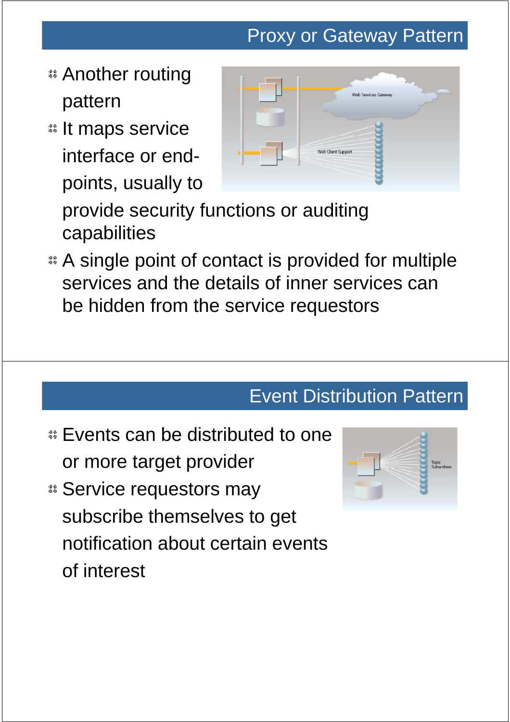# Proxy or Gateway Pattern

- Another routing pattern
- **:: It maps service** interface or endpoints, usually to



provide security functions or auditing capabilities

A single point of contact is provided for multiple services and the details of inner services can be hidden from the service requestors

### Event Distribution Pattern

- **Events can be distributed to one** or more target provider
- Service requestors may subscribe themselves to get notification about certain events of interest

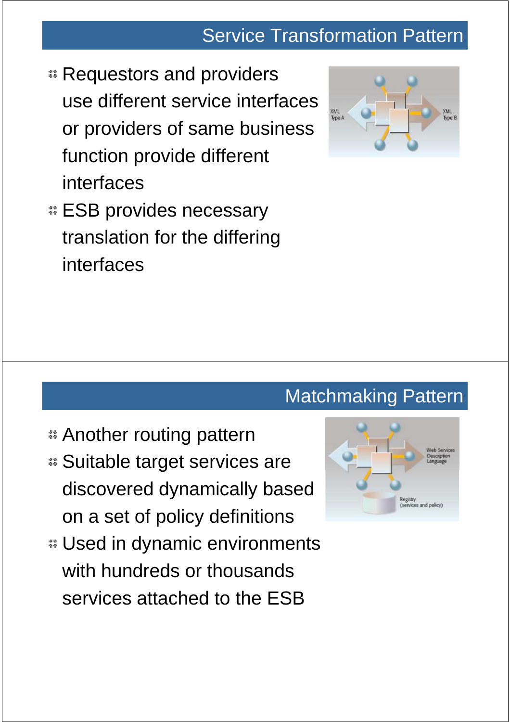### Service Transformation Pattern

- **E** Requestors and providers use different service interfaces or providers of same business function provide different interfaces
- **ESB provides necessary** translation for the differing interfaces



### Matchmaking Pattern

- **a** Another routing pattern
- Suitable target services are discovered dynamically based on a set of policy definitions
- Used in dynamic environments with hundreds or thousands services attached to the ESB